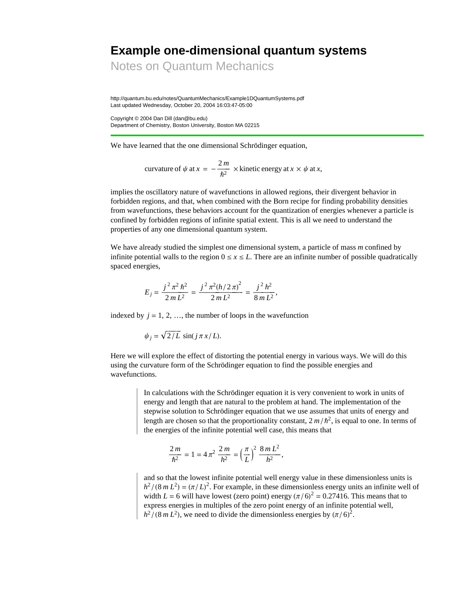# **Example one-dimensional quantum systems**

Notes on Quantum Mechanics

http://quantum.bu.edu/notes/QuantumMechanics/Example1DQuantumSystems.pdf Last updated Wednesday, October 20, 2004 16:03:47-05:00

Copyright © 2004 Dan Dill (dan@bu.edu) Department of Chemistry, Boston University, Boston MA 02215

We have learned that the one dimensional Schrödinger equation,

curvature of 
$$
\psi
$$
 at  $x = -\frac{2m}{\hbar^2}$  × kinetic energy at  $x \times \psi$  at x,

implies the oscillatory nature of wavefunctions in allowed regions, their divergent behavior in forbidden regions, and that, when combined with the Born recipe for finding probability densities from wavefunctions, these behaviors account for the quantization of energies whenever a particle is confined by forbidden regions of infinite spatial extent. This is all we need to understand the properties of any one dimensional quantum system.

We have already studied the simplest one dimensional system, a particle of mass *m* confined by infinite potential walls to the region  $0 \le x \le L$ . There are an infinite number of possible quadratically spaced energies,

$$
E_j = \frac{j^2 \pi^2 \hbar^2}{2m L^2} = \frac{j^2 \pi^2 (h/2 \pi)^2}{2m L^2} = \frac{j^2 h^2}{8m L^2},
$$

indexed by  $j = 1, 2, \ldots$ , the number of loops in the wavefunction

$$
\psi_j = \sqrt{2/L} \, \sin(j \, \pi \, x/L).
$$

Here we will explore the effect of distorting the potential energy in various ways. We will do this using the curvature form of the Schrödinger equation to find the possible energies and wavefunctions.

> In calculations with the Schrödinger equation it is very convenient to work in units of energy and length that are natural to the problem at hand. The implementation of the stepwise solution to Schrödinger equation that we use assumes that units of energy and length are chosen so that the proportionality constant,  $2 m/h^2$ , is equal to one. In terms of the energies of the infinite potential well case, this means that

$$
\frac{2m}{\hbar^2} = 1 = 4\pi^2 \frac{2m}{h^2} = \left(\frac{\pi}{L}\right)^2 \frac{8mL^2}{h^2},
$$

and so that the lowest infinite potential well energy value in these dimensionless units is  $h^2/(8mL^2) = (\pi/L)^2$ . For example, in these dimensionless energy units an infinite well of width  $L = 6$  will have lowest (zero point) energy  $(\pi/6)^2 = 0.27416$ . This means that to express energies in multiples of the zero point energy of an infinite potential well,  $h^2/(8mL^2)$ , we need to divide the dimensionless energies by  $(\pi/6)^2$ .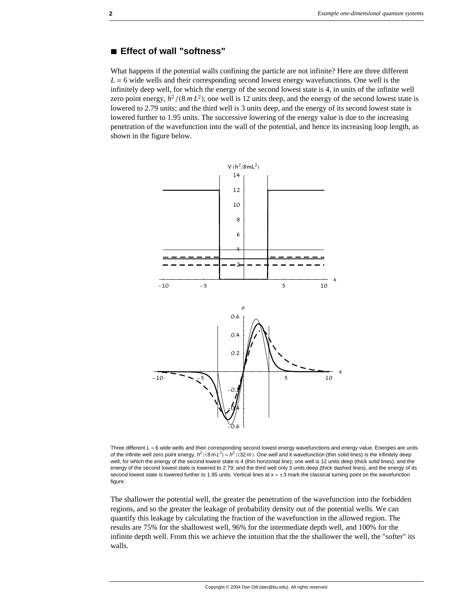#### **à Effect of wall "softness"**

What happens if the potential walls confining the particle are not infinite? Here are three different  $L = 6$  wide wells and their corresponding second lowest energy wavefunctions. One well is the infinitely deep well, for which the energy of the second lowest state is 4, in units of the infinite well zero point energy,  $h^2/(8mL^2)$ ; one well is 12 units deep, and the energy of the second lowest state is lowered to 2.79 units; and the third well is 3 units deep, and the energy of its second lowest state is lowered further to 1.95 units. The successive lowering of the energy value is due to the increasing penetration of the wavefunction into the wall of the potential, and hence its increasing loop length, as shown in the figure below.



Three different  $L = 6$  wide wells and their corresponding second lowest energy wavefunctions and energy value. Energies are units of the infinite well zero point energy,  $h^2/(8mL^2) = h^2/(32m)$ . One well and it wavefunction (thin solid lines) is the infinitely deep well, for which the energy of the second lowest state is 4 (thin horizontal line); one well is 12 units deep (thick solid lines), and the energy of the second lowest state is lowered to 2.79; and the third well only 3 units deep (thick dashed lines), and the energy of its second lowest state is lowered further to 1.95 units. Vertical lines at  $x = \pm 3$  mark the classical turning point on the wavefunction figure.

The shallower the potential well, the greater the penetration of the wavefunction into the forbidden regions, and so the greater the leakage of probability density out of the potential wells. We can quantify this leakage by calculating the fraction of the wavefunction in the allowed region. The results are 75% for the shallowest well, 96% for the intermediate depth well, and 100% for the infinite depth well. From this we achieve the intuition that the the shallower the well, the "softer" its walls.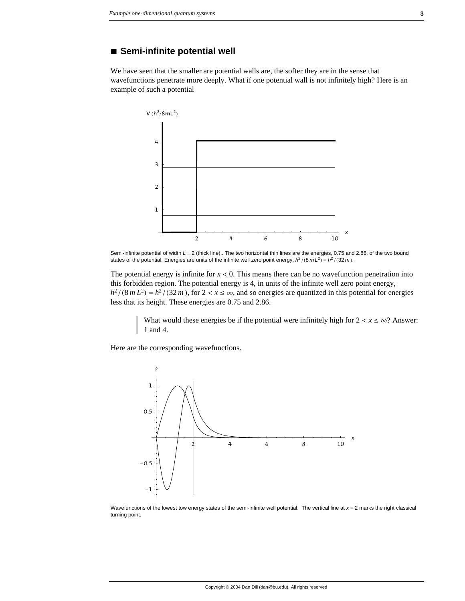#### **à Semi-infinite potential well**

We have seen that the smaller are potential walls are, the softer they are in the sense that wavefunctions penetrate more deeply. What if one potential wall is not infinitely high? Here is an example of such a potential



Semi-infinite potential of width *L* = 2 (thick line).. The two horizontal thin lines are the energies, 0.75 and 2.86, of the two bound states of the potential. Energies are units of the infinite well zero point energy,  $h^2/(8mL^2) = h^2/(32m)$ .

The potential energy is infinite for  $x < 0$ . This means there can be no wavefunction penetration into this forbidden region. The potential energy is 4, in units of the infinite well zero point energy,  $h^2/(8m L^2) = h^2/(32 m)$ , for  $2 < x \le \infty$ , and so energies are quantized in this potential for energies less that its height. These energies are 0.75 and 2.86.

> What would these energies be if the potential were infinitely high for  $2 < x \le \infty$ ? Answer: 1 and 4.

Here are the corresponding wavefunctions.



Wavefunctions of the lowest tow energy states of the semi-infinite well potential. The vertical line at *x* = 2 marks the right classical turning point.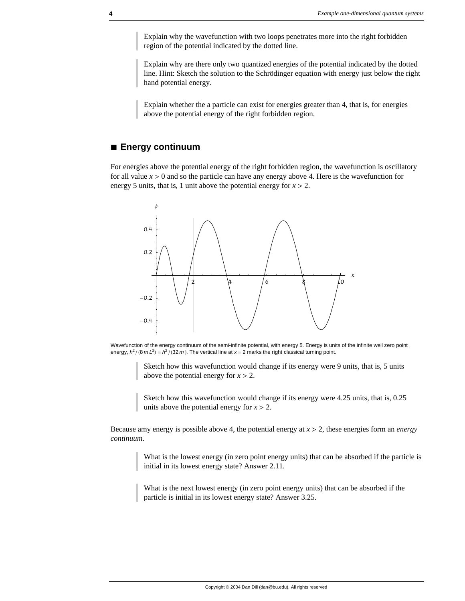Explain why the wavefunction with two loops penetrates more into the right forbidden region of the potential indicated by the dotted line.

Explain why are there only two quantized energies of the potential indicated by the dotted line. Hint: Sketch the solution to the Schrödinger equation with energy just below the right hand potential energy.

Explain whether the a particle can exist for energies greater than 4, that is, for energies above the potential energy of the right forbidden region.

### **à Energy continuum**

For energies above the potential energy of the right forbidden region, the wavefunction is oscillatory for all value  $x > 0$  and so the particle can have any energy above 4. Here is the wavefunction for energy 5 units, that is, 1 unit above the potential energy for  $x > 2$ .



Wavefunction of the energy continuum of the semi-infinite potential, with energy 5. Energy is units of the infinite well zero point energy,  $h^2 / (8 m L^2) = h^2 / (32 m)$ . The vertical line at  $x = 2$  marks the right classical turning point.

Sketch how this wavefunction would change if its energy were 9 units, that is, 5 units above the potential energy for  $x > 2$ .

Sketch how this wavefunction would change if its energy were 4.25 units, that is, 0.25 units above the potential energy for  $x > 2$ .

Because amy energy is possible above 4, the potential energy at *x* > 2, these energies form an *energy continuum*.

> What is the lowest energy (in zero point energy units) that can be absorbed if the particle is initial in its lowest energy state? Answer 2.11.

What is the next lowest energy (in zero point energy units) that can be absorbed if the particle is initial in its lowest energy state? Answer 3.25.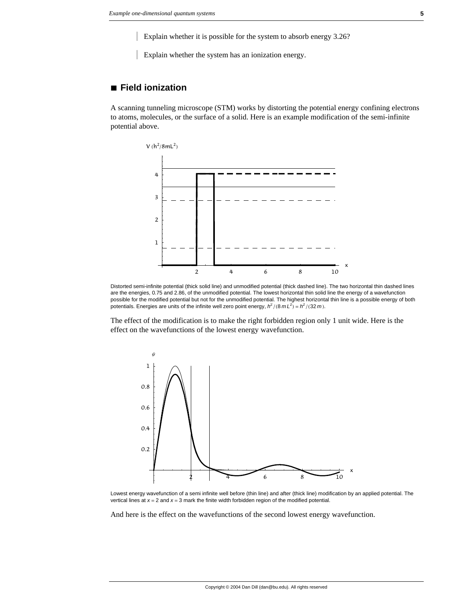Explain whether it is possible for the system to absorb energy 3.26?

Explain whether the system has an ionization energy.

## **à Field ionization**

A scanning tunneling microscope (STM) works by distorting the potential energy confining electrons to atoms, molecules, or the surface of a solid. Here is an example modification of the semi-infinite potential above.



Distorted semi-infinite potential (thick solid line) and unmodified potential (thick dashed line). The two horizontal thin dashed lines are the energies, 0.75 and 2.86, of the unmodified potential. The lowest horizontal thin solid line the energy of a wavefunction possible for the modified potential but not for the unmodified potential. The highest horizontal thin line is a possible energy of both potentials. Energies are units of the infinite well zero point energy,  $h^2/(8mL^2) = h^2/(32m)$ .

The effect of the modification is to make the right forbidden region only 1 unit wide. Here is the effect on the wavefunctions of the lowest energy wavefunction.



Lowest energy wavefunction of a semi infinite well before (thin line) and after (thick line) modification by an applied potential. The vertical lines at *x* = 2 and *x* = 3 mark the finite width forbidden region of the modified potential.

And here is the effect on the wavefunctions of the second lowest energy wavefunction.